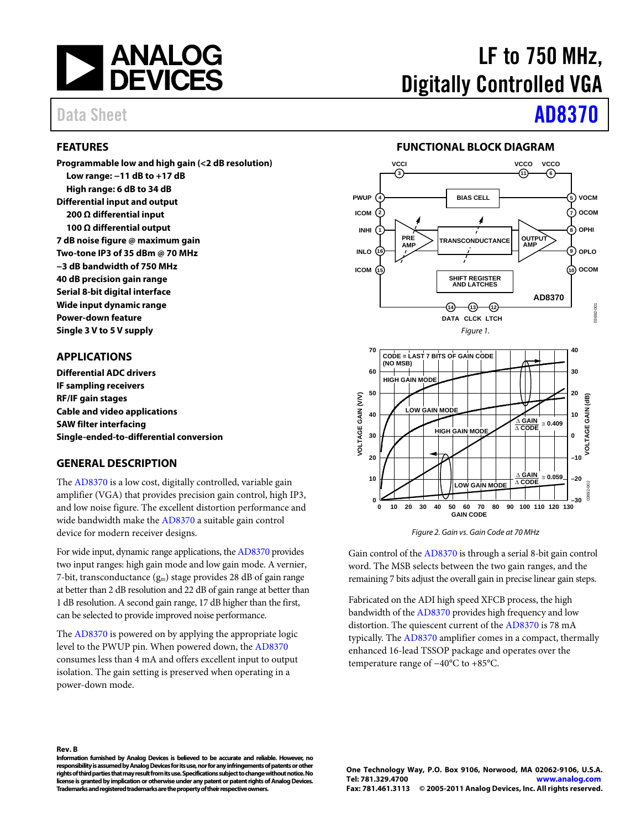

#### <span id="page-0-0"></span>**FEATURES**

**Programmable low and high gain (<2 dB resolution) Low range: −11 dB to +17 dB High range: 6 dB to 34 dB Differential input and output 200 Ω differential input 100 Ω differential output 7 dB noise figure @ maximum gain Two-tone IP3 of 35 dBm @ 70 MHz −3 dB bandwidth of 750 MHz 40 dB precision gain range Serial 8-bit digital interface Wide input dynamic range Power-down feature Single 3 V to 5 V supply** 

#### <span id="page-0-1"></span>**APPLICATIONS**

**Differential ADC drivers IF sampling receivers RF/IF gain stages Cable and video applications SAW filter interfacing Single-ended-to-differential conversion** 

#### <span id="page-0-2"></span>**GENERAL DESCRIPTION**

The [AD8370 i](http://www.analog.com/AD8370)s a low cost, digitally controlled, variable gain amplifier (VGA) that provides precision gain control, high IP3, and low noise figure. The excellent distortion performance and wide bandwidth make th[e AD8370 a](http://www.analog.com/AD8370) suitable gain control device for modern receiver designs.

For wide input, dynamic range applications, th[e AD8370 p](http://www.analog.com/AD8370)rovides two input ranges: high gain mode and low gain mode. A vernier, 7-bit, transconductance  $(g_m)$  stage provides 28 dB of gain range at better than 2 dB resolution and 22 dB of gain range at better than 1 dB resolution. A second gain range, 17 dB higher than the first, can be selected to provide improved noise performance.

The [AD8370 i](http://www.analog.com/AD8370)s powered on by applying the appropriate logic level to the PWUP pin. When powered down, th[e AD8370](http://www.analog.com/AD8370) consumes less than 4 mA and offers excellent input to output isolation. The gain setting is preserved when operating in a power-down mode.

**Rev. B** 

**Information furnished by Analog Devices is believed to be accurate and reliable. However, no responsibility is assumed by Analog Devices for its use, nor for any infringements of patents or other rights of third parties that may result from its use. Specifications subject to change without notice. No license is granted by implication or otherwise under any patent or patent rights of Analog Devices. Trademarks and registered trademarks are the property of their respective owners.** 

# LF to 750 MHz, Digitally Controlled VGA

# Data Sheet **[AD8370](www.analog.com/AD8370)**

#### **FUNCTIONAL BLOCK DIAGRAM**

<span id="page-0-3"></span>

Figure 2. Gain vs. Gain Code at 70 MHz

Gain control of th[e AD8370 i](http://www.analog.com/AD8370)s through a serial 8-bit gain control word. The MSB selects between the two gain ranges, and the remaining 7 bits adjust the overall gain in precise linear gain steps.

Fabricated on the ADI high speed XFCB process, the high bandwidth of th[e AD8370](http://www.analog.com/AD8370) provides high frequency and low distortion. The quiescent current of the [AD8370](http://www.analog.com/AD8370) is 78 mA typically. The [AD8370 a](http://www.analog.com/AD8370)mplifier comes in a compact, thermally enhanced 16-lead TSSOP package and operates over the temperature range of −40°C to +85°C.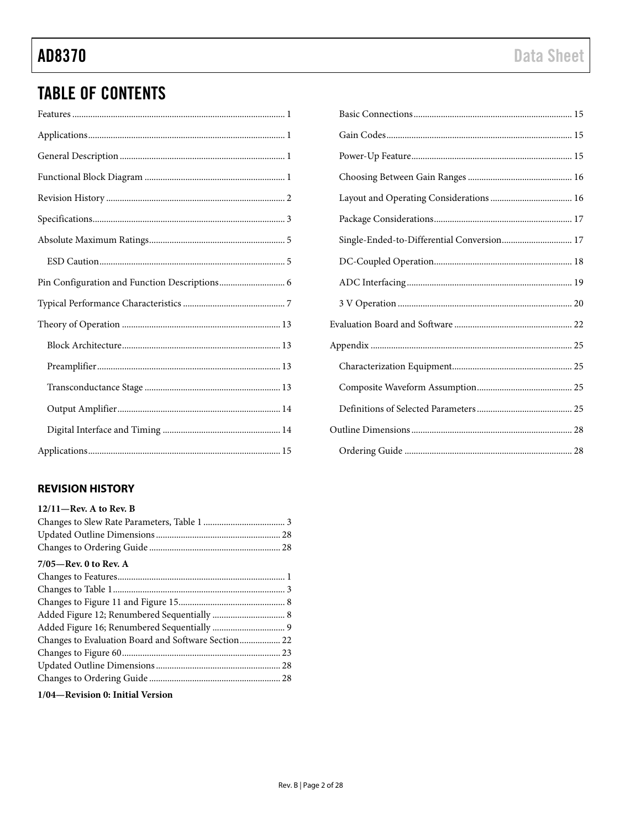## **TABLE OF CONTENTS**

### <span id="page-1-0"></span>**REVISION HISTORY**

| $12/11$ – Rev. A to Rev. B                          |  |
|-----------------------------------------------------|--|
|                                                     |  |
|                                                     |  |
|                                                     |  |
| $7/05$ —Rev. 0 to Rev. A                            |  |
|                                                     |  |
|                                                     |  |
|                                                     |  |
|                                                     |  |
|                                                     |  |
| Changes to Evaluation Board and Software Section 22 |  |
|                                                     |  |
|                                                     |  |
|                                                     |  |
|                                                     |  |

1/04-Revision 0: Initial Version

| Single-Ended-to-Differential Conversion 17 |  |
|--------------------------------------------|--|
|                                            |  |
|                                            |  |
|                                            |  |
|                                            |  |
|                                            |  |
|                                            |  |
|                                            |  |
|                                            |  |
|                                            |  |
|                                            |  |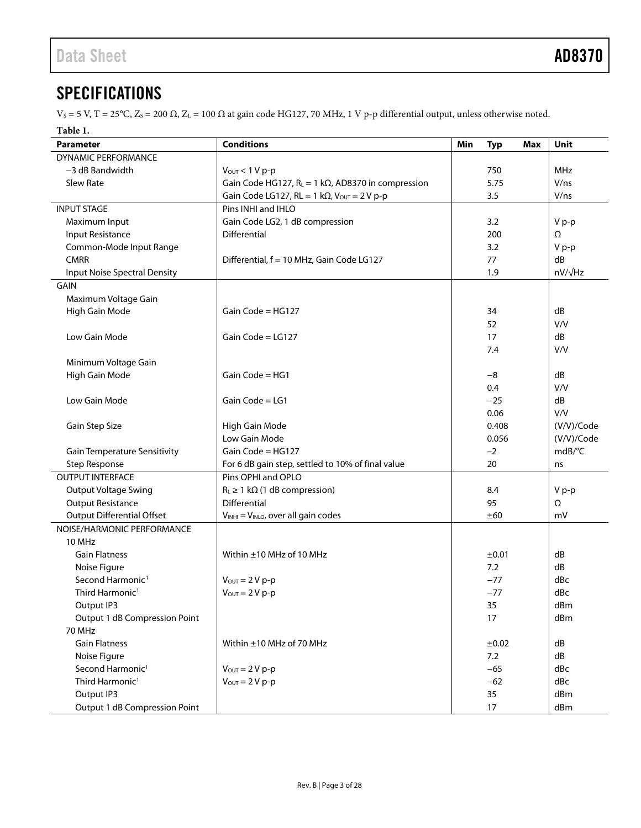## <span id="page-2-0"></span>**SPECIFICATIONS**

 $V_s = 5$  V, T = 25°C, Z<sub>s</sub> = 200 Ω, Z<sub>L</sub> = 100 Ω at gain code HG127, 70 MHz, 1 V p-p differential output, unless otherwise noted.

**Table 1.** 

| ruvic I.<br>Parameter               | <b>Conditions</b>                                          | Min | <b>Typ</b> | <b>Max</b> | <b>Unit</b>    |
|-------------------------------------|------------------------------------------------------------|-----|------------|------------|----------------|
| DYNAMIC PERFORMANCE                 |                                                            |     |            |            |                |
| $-3$ dB Bandwidth                   | $V_{OUT}$ < 1 V p-p                                        |     | 750        |            | MHz            |
| Slew Rate                           | Gain Code HG127, $R_L = 1 k\Omega$ , AD8370 in compression |     | 5.75       |            | V/ns           |
|                                     | Gain Code LG127, RL = 1 k $\Omega$ , Vout = 2 V p-p        |     | 3.5        |            | V/ns           |
| <b>INPUT STAGE</b>                  | Pins INHI and IHLO                                         |     |            |            |                |
| Maximum Input                       | Gain Code LG2, 1 dB compression                            |     | 3.2        |            | V p-p          |
| Input Resistance                    | <b>Differential</b>                                        |     | 200        |            | Ω              |
| Common-Mode Input Range             |                                                            |     | 3.2        |            | V p-p          |
| <b>CMRR</b>                         | Differential, f = 10 MHz, Gain Code LG127                  |     | 77         |            | dB             |
| Input Noise Spectral Density        |                                                            |     | 1.9        |            | $nV/\sqrt{Hz}$ |
| <b>GAIN</b>                         |                                                            |     |            |            |                |
| Maximum Voltage Gain                |                                                            |     |            |            |                |
| High Gain Mode                      | Gain Code = $HG127$                                        |     | 34         |            | dB             |
|                                     |                                                            |     | 52         |            | V/V            |
| Low Gain Mode                       | Gain Code = $LG127$                                        |     | 17         |            | dB             |
|                                     |                                                            |     | 7.4        |            | V/V            |
| Minimum Voltage Gain                |                                                            |     |            |            |                |
| High Gain Mode                      | Gain Code = HG1                                            |     | $-8$       |            | dB             |
|                                     |                                                            |     | 0.4        |            | V/V            |
| Low Gain Mode                       | Gain Code = LG1                                            |     | $-25$      |            | dB             |
|                                     |                                                            |     | 0.06       |            | V/V            |
| Gain Step Size                      | High Gain Mode                                             |     | 0.408      |            | (V/V)/Code     |
|                                     | Low Gain Mode                                              |     | 0.056      |            | (V/V)/Code     |
| <b>Gain Temperature Sensitivity</b> | Gain Code = HG127                                          |     | $-2$       |            | mdB/°C         |
| <b>Step Response</b>                | For 6 dB gain step, settled to 10% of final value          |     | 20         |            | ns             |
| <b>OUTPUT INTERFACE</b>             | Pins OPHI and OPLO                                         |     |            |            |                |
| <b>Output Voltage Swing</b>         | $R_L \geq 1$ k $\Omega$ (1 dB compression)                 |     | 8.4        |            | V p-p          |
| <b>Output Resistance</b>            | <b>Differential</b>                                        |     | 95         |            | Ω              |
| <b>Output Differential Offset</b>   | VINHI = VINLO, over all gain codes                         |     | ±60        |            | mV             |
| NOISE/HARMONIC PERFORMANCE          |                                                            |     |            |            |                |
| 10 MHz                              |                                                            |     |            |            |                |
| <b>Gain Flatness</b>                | Within ±10 MHz of 10 MHz                                   |     | ±0.01      |            | dB             |
| Noise Figure                        |                                                            |     | 7.2        |            | dB             |
| Second Harmonic <sup>1</sup>        | $V_{\text{OUT}} = 2 V p-p$                                 |     | $-77$      |            | dBc            |
| Third Harmonic <sup>1</sup>         | $V_{\text{OUT}} = 2 V p-p$                                 |     | $-77$      |            | dBc            |
| Output IP3                          |                                                            |     | 35         |            | dBm            |
| Output 1 dB Compression Point       |                                                            |     | 17         |            | dBm            |
| <b>70 MHz</b>                       |                                                            |     |            |            |                |
| <b>Gain Flatness</b>                | Within ±10 MHz of 70 MHz                                   |     | ±0.02      |            | dB             |
| Noise Figure                        |                                                            |     | 7.2        |            | dB             |
| Second Harmonic <sup>1</sup>        | $V_{\text{OUT}} = 2 V p-p$                                 |     | $-65$      |            | dBc            |
| Third Harmonic <sup>1</sup>         | $V_{\text{OUT}} = 2 V p-p$                                 |     | $-62$      |            | dBc            |
| Output IP3                          |                                                            |     | 35         |            | dBm            |
| Output 1 dB Compression Point       |                                                            |     | 17         |            | dBm            |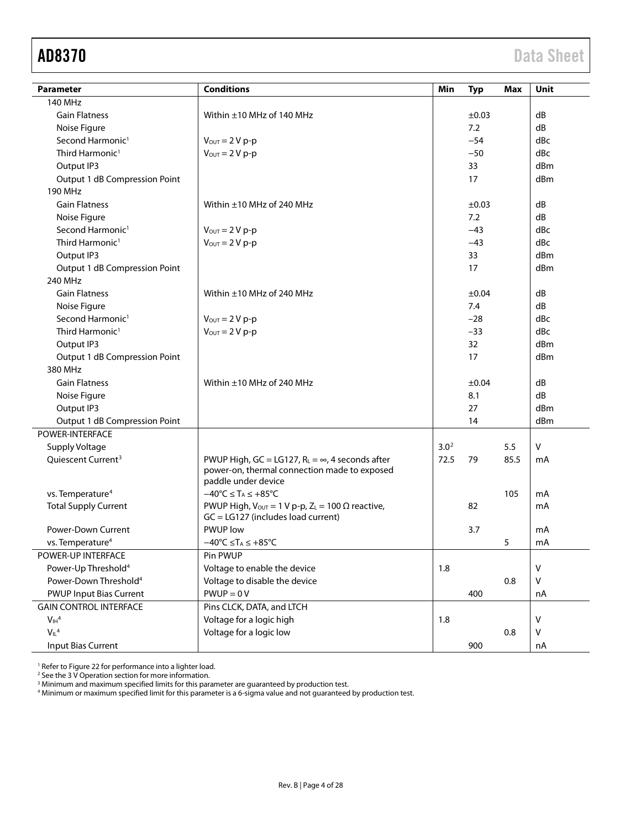<span id="page-3-0"></span>

| <b>Parameter</b>                  | <b>Conditions</b>                                                              | Min              | <b>Typ</b> | Max  | Unit         |
|-----------------------------------|--------------------------------------------------------------------------------|------------------|------------|------|--------------|
| 140 MHz                           |                                                                                |                  |            |      |              |
| <b>Gain Flatness</b>              | Within ±10 MHz of 140 MHz                                                      |                  | ±0.03      |      | dB           |
| Noise Figure                      |                                                                                |                  | 7.2        |      | dB           |
| Second Harmonic <sup>1</sup>      | $V_{\text{OUT}} = 2 V p-p$                                                     |                  | $-54$      |      | dBc          |
| Third Harmonic <sup>1</sup>       | $V_{\text{OUT}} = 2 V p-p$                                                     |                  | $-50$      |      | dBc          |
| Output IP3                        |                                                                                |                  | 33         |      | dBm          |
| Output 1 dB Compression Point     |                                                                                |                  | 17         |      | dBm          |
| 190 MHz                           |                                                                                |                  |            |      |              |
| <b>Gain Flatness</b>              | Within $\pm$ 10 MHz of 240 MHz                                                 |                  | $\pm 0.03$ |      | dB           |
| Noise Figure                      |                                                                                |                  | 7.2        |      | dB           |
| Second Harmonic <sup>1</sup>      | $V_{\text{OUT}} = 2 V p-p$                                                     |                  | $-43$      |      | dBc          |
| Third Harmonic <sup>1</sup>       | $V_{\text{OUT}} = 2 V p-p$                                                     |                  | $-43$      |      | dBc          |
| Output IP3                        |                                                                                |                  | 33         |      | dBm          |
| Output 1 dB Compression Point     |                                                                                |                  | 17         |      | dBm          |
| 240 MHz                           |                                                                                |                  |            |      |              |
| <b>Gain Flatness</b>              | Within $\pm$ 10 MHz of 240 MHz                                                 |                  | ±0.04      |      | dB           |
| Noise Figure                      |                                                                                |                  | 7.4        |      | dB           |
| Second Harmonic <sup>1</sup>      | $V_{\text{OUT}} = 2 V p-p$                                                     |                  | $-28$      |      | dBc          |
| Third Harmonic <sup>1</sup>       | $V_{OUT} = 2 V p-p$                                                            |                  | $-33$      |      | dBc          |
| Output IP3                        |                                                                                |                  | 32         |      | dBm          |
| Output 1 dB Compression Point     |                                                                                |                  | 17         |      | dBm          |
| 380 MHz                           |                                                                                |                  |            |      |              |
| <b>Gain Flatness</b>              | Within $\pm$ 10 MHz of 240 MHz                                                 |                  | ±0.04      |      | dB           |
| Noise Figure                      |                                                                                |                  | 8.1        |      | dB           |
| Output IP3                        |                                                                                |                  | 27         |      | dBm          |
| Output 1 dB Compression Point     |                                                                                |                  | 14         |      | dBm          |
| <b>POWER-INTERFACE</b>            |                                                                                |                  |            |      |              |
| Supply Voltage                    |                                                                                | 3.0 <sup>2</sup> |            | 5.5  | V            |
| Oujescent Current <sup>3</sup>    | PWUP High, GC = LG127, $R_L = \infty$ , 4 seconds after                        | 72.5             | 79         | 85.5 | mA           |
|                                   | power-on, thermal connection made to exposed<br>paddle under device            |                  |            |      |              |
| vs. Temperature <sup>4</sup>      | $-40^{\circ}C \leq T_A \leq +85^{\circ}C$                                      |                  |            | 105  | mA           |
| <b>Total Supply Current</b>       | PWUP High, $V_{\text{OUT}} = 1$ V p-p, Z <sub>L</sub> = 100 $\Omega$ reactive, |                  | 82         |      | mA           |
|                                   | $GC = LG127$ (includes load current)                                           |                  |            |      |              |
| Power-Down Current                | <b>PWUP</b> low                                                                |                  | 3.7        |      | mA           |
| vs. Temperature <sup>4</sup>      | $-40^{\circ}C \leq T_A \leq +85^{\circ}C$                                      |                  |            | 5    | mA           |
| POWER-UP INTERFACE                | Pin PWUP                                                                       |                  |            |      |              |
| Power-Up Threshold <sup>4</sup>   | Voltage to enable the device                                                   | 1.8              |            |      | V            |
| Power-Down Threshold <sup>4</sup> | Voltage to disable the device                                                  |                  |            | 0.8  | $\mathsf{V}$ |
| <b>PWUP Input Bias Current</b>    | $PWUP = 0 V$                                                                   |                  | 400        |      | nA           |
| <b>GAIN CONTROL INTERFACE</b>     | Pins CLCK, DATA, and LTCH                                                      |                  |            |      |              |
| $V_H^4$                           | Voltage for a logic high                                                       | 1.8              |            |      | v            |
| $V_{IL}$ <sup>4</sup>             | Voltage for a logic low                                                        |                  |            | 0.8  | v            |
| <b>Input Bias Current</b>         |                                                                                |                  | 900        |      | nA           |

<span id="page-3-1"></span><sup>1</sup> Refer to [Figure 22](#page-9-0) for performance into a lighter load.

<sup>2</sup> See th[e 3 V Operation](#page-19-0) section for more information.

 $^3$  Minimum and maximum specified limits for this parameter are guaranteed by production test.

<sup>4</sup> Minimum or maximum specified limit for this parameter is a 6-sigma value and not guaranteed by production test.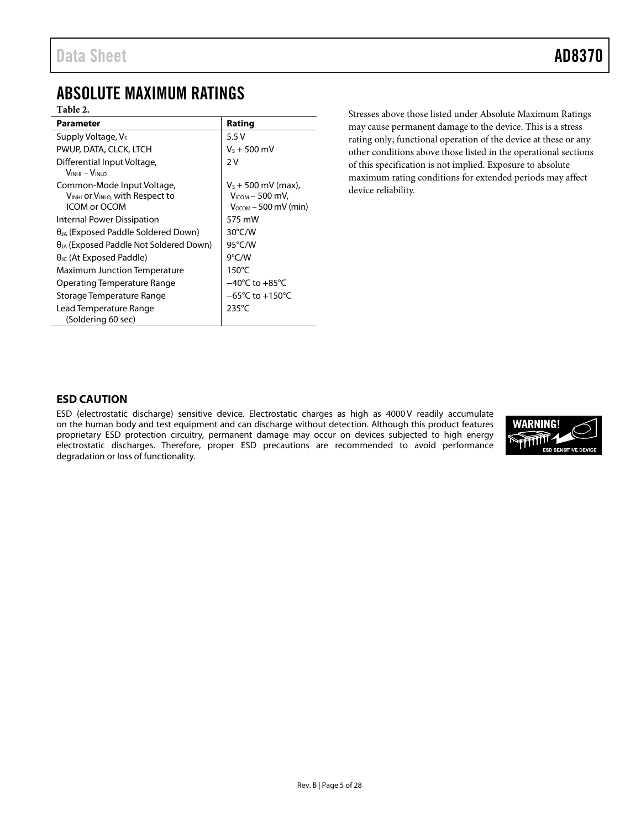## <span id="page-4-0"></span>ABSOLUTE MAXIMUM RATINGS

#### **Table 2.**

| Parameter                                        | Rating                              |
|--------------------------------------------------|-------------------------------------|
| Supply Voltage, V <sub>s</sub>                   | 5.5V                                |
| PWUP, DATA, CLCK, LTCH                           | $V_S + 500$ mV                      |
| Differential Input Voltage,                      | 2 V                                 |
| $V_{INHI} - V_{INLO}$                            |                                     |
| Common-Mode Input Voltage,                       | $V_5 + 500$ mV (max),               |
| VINHI Or VINLO, with Respect to                  | $V_{ICOM}$ – 500 mV,                |
| ICOM or OCOM                                     | $V_{\rm OCOM}$ – 500 mV (min)       |
| Internal Power Dissipation                       | 575 mW                              |
| $\theta_{JA}$ (Exposed Paddle Soldered Down)     | $30^{\circ}$ C/W                    |
| $\theta_{JA}$ (Exposed Paddle Not Soldered Down) | 95°C/W                              |
| $\theta_{\text{IC}}$ (At Exposed Paddle)         | $9^{\circ}$ C/W                     |
| Maximum Junction Temperature                     | $150^{\circ}$ C                     |
| Operating Temperature Range                      | $-40^{\circ}$ C to $+85^{\circ}$ C  |
| Storage Temperature Range                        | $-65^{\circ}$ C to $+150^{\circ}$ C |
| Lead Temperature Range                           | $235^{\circ}$ C                     |
| (Soldering 60 sec)                               |                                     |

Stresses above those listed under Absolute Maximum Ratings may cause permanent damage to the device. This is a stress rating only; functional operation of the device at these or any other conditions above those listed in the operational sections of this specification is not implied. Exposure to absolute maximum rating conditions for extended periods may affect device reliability.

#### <span id="page-4-1"></span>**ESD CAUTION**

ESD (electrostatic discharge) sensitive device. Electrostatic charges as high as 4000 V readily accumulate on the human body and test equipment and can discharge without detection. Although this product features proprietary ESD protection circuitry, permanent damage may occur on devices subjected to high energy electrostatic discharges. Therefore, proper ESD precautions are recommended to avoid performance degradation or loss of functionality.

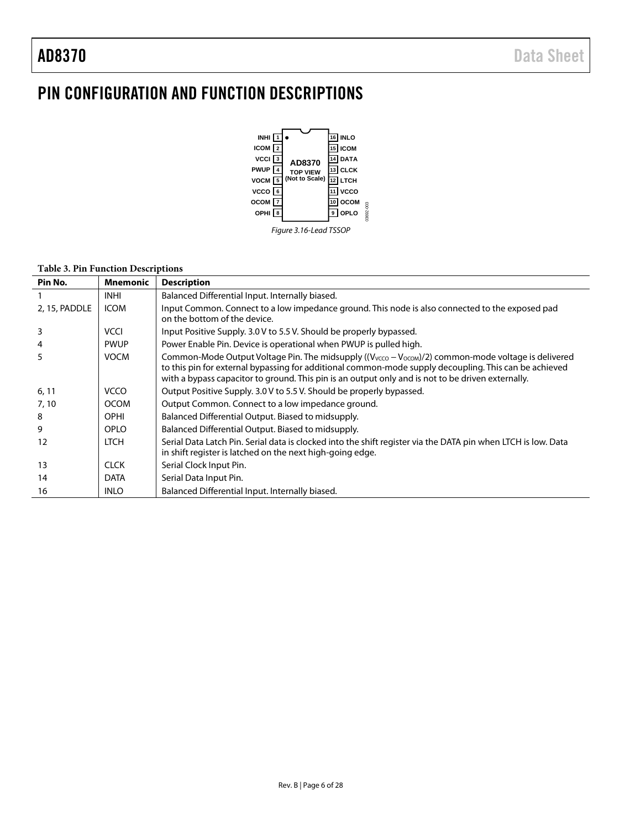## <span id="page-5-0"></span>PIN CONFIGURATION AND FUNCTION DESCRIPTIONS



#### **Table 3. Pin Function Descriptions**

| Pin No.       | <b>Mnemonic</b> | <b>Description</b>                                                                                                                                                                                                                                                                                               |
|---------------|-----------------|------------------------------------------------------------------------------------------------------------------------------------------------------------------------------------------------------------------------------------------------------------------------------------------------------------------|
|               | <b>INHI</b>     | Balanced Differential Input. Internally biased.                                                                                                                                                                                                                                                                  |
| 2, 15, PADDLE | <b>ICOM</b>     | Input Common. Connect to a low impedance ground. This node is also connected to the exposed pad<br>on the bottom of the device.                                                                                                                                                                                  |
| 3             | <b>VCCI</b>     | Input Positive Supply. 3.0 V to 5.5 V. Should be properly bypassed.                                                                                                                                                                                                                                              |
|               | <b>PWUP</b>     | Power Enable Pin. Device is operational when PWUP is pulled high.                                                                                                                                                                                                                                                |
| 5             | <b>VOCM</b>     | Common-Mode Output Voltage Pin. The midsupply ((Vvcco - Vocom)/2) common-mode voltage is delivered<br>to this pin for external bypassing for additional common-mode supply decoupling. This can be achieved<br>with a bypass capacitor to ground. This pin is an output only and is not to be driven externally. |
| 6, 11         | <b>VCCO</b>     | Output Positive Supply. 3.0 V to 5.5 V. Should be properly bypassed.                                                                                                                                                                                                                                             |
| 7,10          | <b>OCOM</b>     | Output Common. Connect to a low impedance ground.                                                                                                                                                                                                                                                                |
| 8             | <b>OPHI</b>     | Balanced Differential Output. Biased to midsupply.                                                                                                                                                                                                                                                               |
| 9             | <b>OPLO</b>     | Balanced Differential Output. Biased to midsupply.                                                                                                                                                                                                                                                               |
| 12            | <b>LTCH</b>     | Serial Data Latch Pin. Serial data is clocked into the shift register via the DATA pin when LTCH is low. Data<br>in shift register is latched on the next high-going edge.                                                                                                                                       |
| 13            | <b>CLCK</b>     | Serial Clock Input Pin.                                                                                                                                                                                                                                                                                          |
| 14            | <b>DATA</b>     | Serial Data Input Pin.                                                                                                                                                                                                                                                                                           |
| 16            | <b>INLO</b>     | Balanced Differential Input. Internally biased.                                                                                                                                                                                                                                                                  |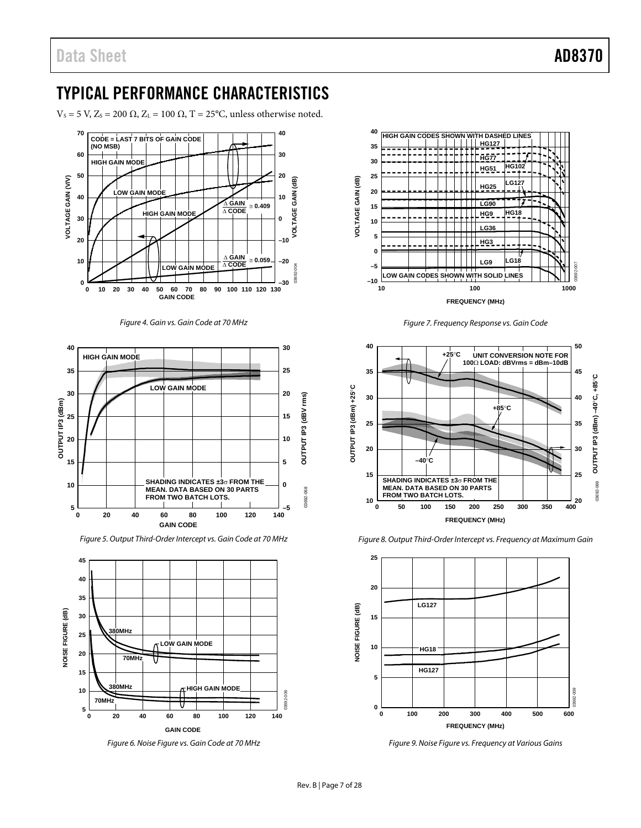## <span id="page-6-1"></span><span id="page-6-0"></span>TYPICAL PERFORMANCE CHARACTERISTICS

 $V_s$  = 5 V, Z<sub>s</sub> = 200 Ω, Z<sub>L</sub> = 100 Ω, T = 25°C, unless otherwise noted.







*Figure 5. Output Third-Order Intercept vs. Gain Code at 70 MHz*



*Figure 6. Noise Figure vs. Gain Code at 70 MHz*



*Figure 7. Frequency Response vs. Gain Code*







*Figure 9. Noise Figure vs. Frequency at Various Gains*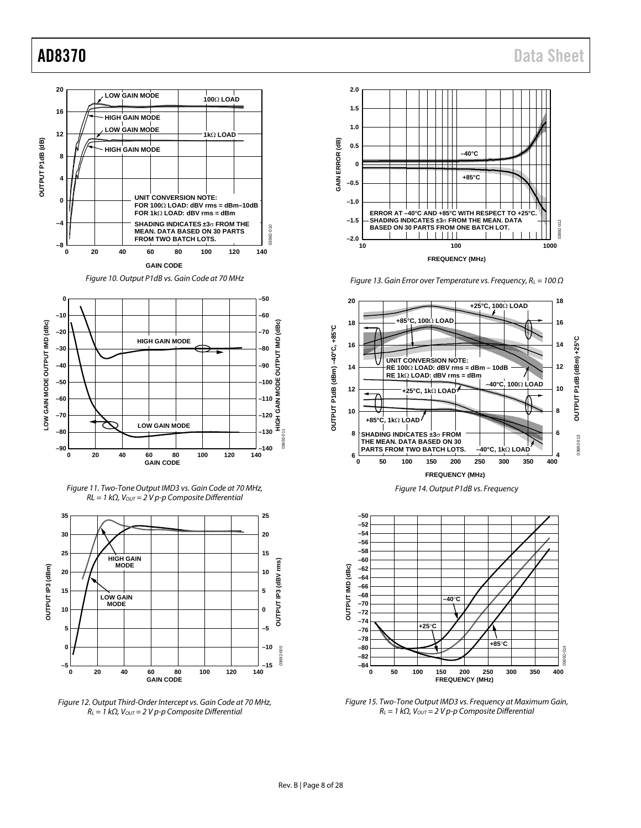

*Figure 10. Output P1dB vs. Gain Code at 70 MHz*



*Figure 11. Two-Tone Output IMD3 vs. Gain Code at 70 MHz, RL* = 1 kΩ, V<sub>OUT</sub> = 2 V p-p Composite Differential



*Figure 12. Output Third-Order Intercept vs. Gain Code at 70 MHz, RL = 1 kΩ, VOUT = 2 V p-p Composite Differential*



*Figure 13. Gain Error over Temperature vs. Frequency, RL = 100 Ω*



*Figure 14. Output P1dB vs. Frequency*



*Figure 15. Two-Tone Output IMD3 vs. Frequency at Maximum Gain, RL = 1 kΩ, VOUT = 2 V p-p Composite Differential*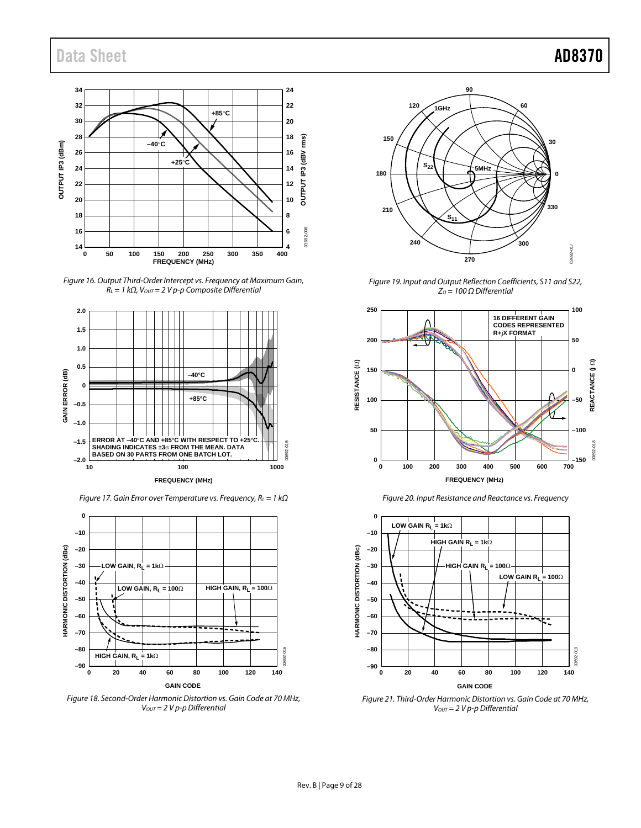## Data Sheet **AD8370**



*Figure 16. Output Third-Order Intercept vs. Frequency at Maximum Gain, RL = 1 kΩ, VOUT = 2 V p-p Composite Differential*



*Figure 17. Gain Error over Temperature vs. Frequency, RL = 1 kΩ*



*Figure 18. Second-Order Harmonic Distortion vs. Gain Code at 70 MHz, VOUT = 2 V p-p Differential*



*Figure 19. Input and Output Reflection Coefficients, S11 and S22, ZO = 100 Ω Differential*





*Figure 21. Third-Order Harmonic Distortion vs. Gain Code at 70 MHz,* 

*VOUT = 2 V p-p Differential*

*Figure 20. Input Resistance and Reactance vs. Frequency*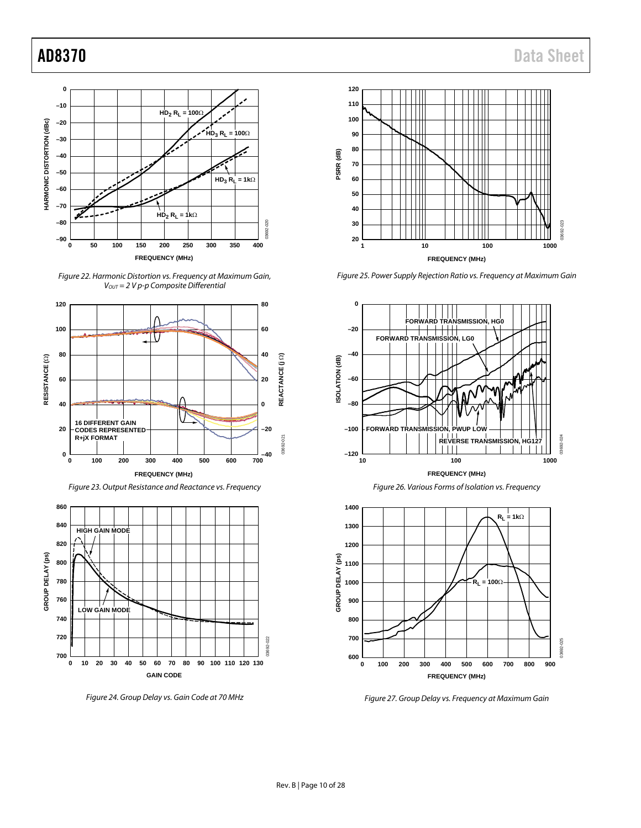<span id="page-9-0"></span>

*Figure 22. Harmonic Distortion vs. Frequency at Maximum Gain, VOUT = 2 V p-p Composite Differential*



*Figure 23. Output Resistance and Reactance vs. Frequency*



*Figure 24. Group Delay vs. Gain Code at 70 MHz*



*Figure 25. Power Supply Rejection Ratio vs. Frequency at Maximum Gain*





<span id="page-9-1"></span>

*Figure 27. Group Delay vs. Frequency at Maximum Gain*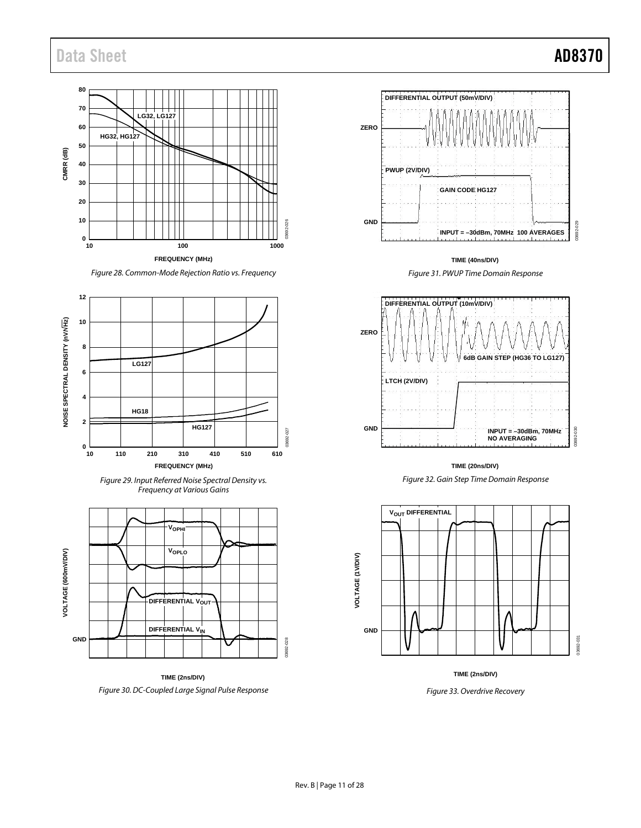## <span id="page-10-0"></span>Data Sheet **AD8370**

#### **80 70 LG32, LG127 60 HG32, HG127 50** CMRR (dB) **CMRR (dB) 40 30 20 10** 03692-026 3692 **0 10 100 1000 FREQUENCY (MHz)**

*Figure 28. Common-Mode Rejection Ratio vs. Frequency*







**TIME (2ns/DIV)** *Figure 30. DC-Coupled Large Signal Pulse Response* 



**TIME (40ns/DIV)**





**TIME (20ns/DIV)**







*Figure 33. Overdrive Recovery*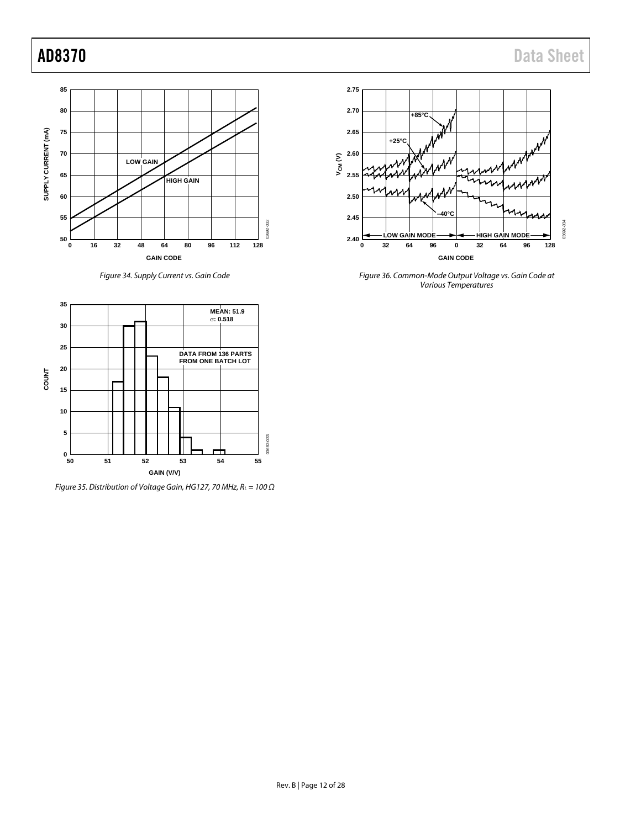

*Figure 34. Supply Current vs. Gain Code*



*Figure 36. Common-Mode Output Voltage vs. Gain Code at Various Temperatures*



*Figure 35. Distribution of Voltage Gain, HG127, 70 MHz, RL = 100 Ω*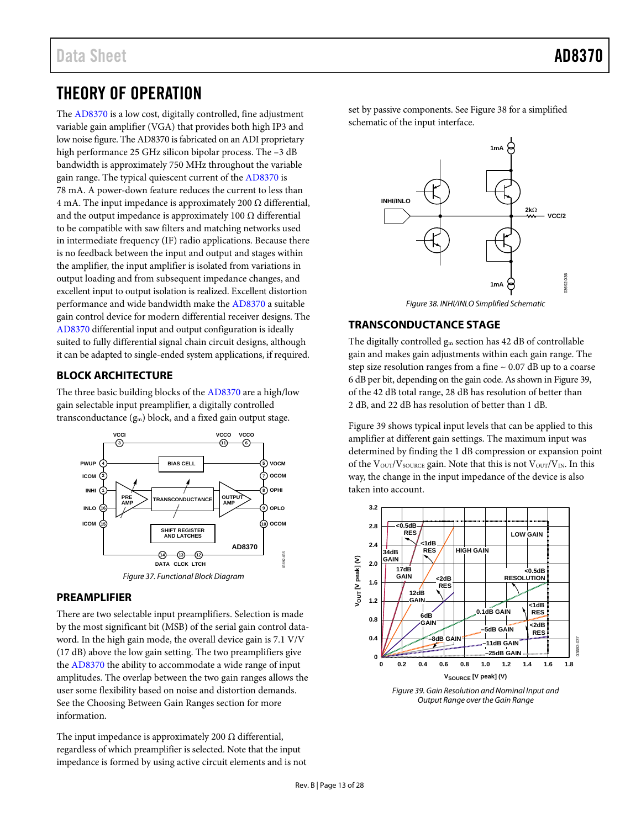## <span id="page-12-0"></span>THEORY OF OPERATION

The [AD8370](http://www.analog.com/AD8370) is a low cost, digitally controlled, fine adjustment variable gain amplifier (VGA) that provides both high IP3 and low noise figure. Th[e AD8370](http://www.analog.com/AD8370) is fabricated on an ADI proprietary high performance 25 GHz silicon bipolar process. The -3 dB bandwidth is approximately 750 MHz throughout the variable gain range. The typical quiescent current of th[e AD8370](http://www.analog.com/AD8370) is 78 mA. A power-down feature reduces the current to less than 4 mA. The input impedance is approximately 200 Ω differential, and the output impedance is approximately 100  $\Omega$  differential to be compatible with saw filters and matching networks used in intermediate frequency (IF) radio applications. Because there is no feedback between the input and output and stages within the amplifier, the input amplifier is isolated from variations in output loading and from subsequent impedance changes, and excellent input to output isolation is realized. Excellent distortion performance and wide bandwidth make the [AD8370](http://www.analog.com/AD8370) a suitable gain control device for modern differential receiver designs. The [AD8370](http://www.analog.com/AD8370) differential input and output configuration is ideally suited to fully differential signal chain circuit designs, although it can be adapted to single-ended system applications, if required.

### <span id="page-12-1"></span>**BLOCK ARCHITECTURE**

The three basic building blocks of the [AD8370](http://www.analog.com/AD8370) are a high/low gain selectable input preamplifier, a digitally controlled transconductance (gm) block, and a fixed gain output stage.



#### <span id="page-12-2"></span>**PREAMPLIFIER**

There are two selectable input preamplifiers. Selection is made by the most significant bit (MSB) of the serial gain control dataword. In the high gain mode, the overall device gain is 7.1 V/V (17 dB) above the low gain setting. The two preamplifiers give the [AD8370](http://www.analog.com/AD8370) the ability to accommodate a wide range of input amplitudes. The overlap between the two gain ranges allows the user some flexibility based on noise and distortion demands. See the [Choosing Between Gain Ranges](#page-15-0) section for more information.

The input impedance is approximately 200  $\Omega$  differential, regardless of which preamplifier is selected. Note that the input impedance is formed by using active circuit elements and is not set by passive components. See Figure 38 for a simplified schematic of the input interface.



*Figure 38. INHI/INLO Simplified Schematic*

### <span id="page-12-3"></span>**TRANSCONDUCTANCE STAGE**

The digitally controlled  $g_m$  section has 42 dB of controllable gain and makes gain adjustments within each gain range. The step size resolution ranges from a fine  $\sim 0.07$  dB up to a coarse 6 dB per bit, depending on the gain code. As shown i[n Figure 39,](#page-12-5)  of the 42 dB total range, 28 dB has resolution of better than 2 dB, and 22 dB has resolution of better than 1 dB.

[Figure 39](#page-12-5) shows typical input levels that can be applied to this amplifier at different gain settings. The maximum input was determined by finding the 1 dB compression or expansion point of the  $V_{\text{OUT}}/V_{\text{SOLRCE}}$  gain. Note that this is not  $V_{\text{OUT}}/V_{\text{IN}}$ . In this way, the change in the input impedance of the device is also taken into account.



<span id="page-12-5"></span><span id="page-12-4"></span>*Figure 39. Gain Resolution and Nominal Input and Output Range over the Gain Range*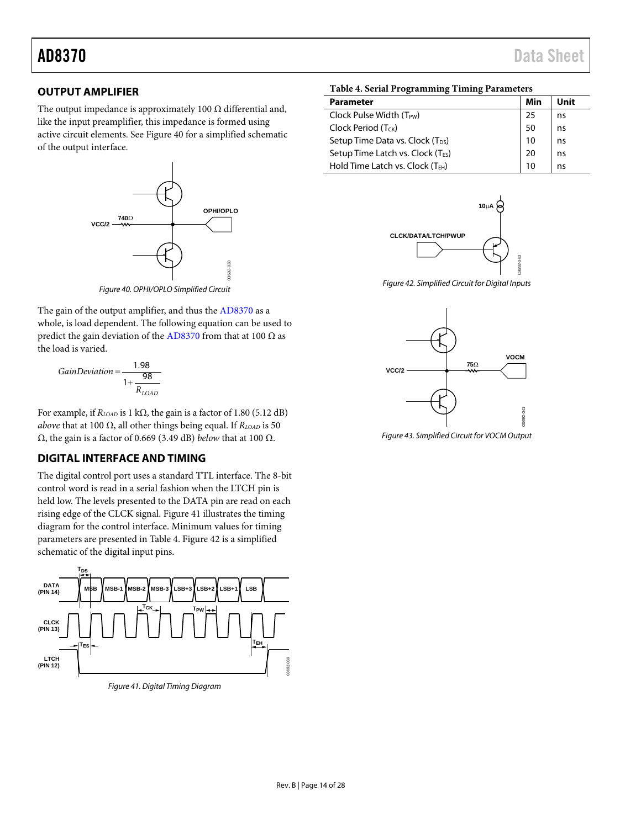### **OUTPUT AMPLIFIER**

The output impedance is approximately 100  $\Omega$  differential and, like the input preamplifier, this impedance is formed using active circuit elements. See Figure 40 for a simplified schematic of the output interface.



*Figure 40. OPHI/OPLO Simplified Circuit*

The gain of the output amplifier, and thus the [AD8370](http://www.analog.com/AD8370) as a whole, is load dependent. The following equation can be used to predict the gain deviation of the [AD8370](http://www.analog.com/AD8370) from that at 100  $\Omega$  as the load is varied.

$$
GainDeviation = \frac{1.98}{1 + \frac{98}{R_{LOAD}}}
$$

For example, if  $R_{LOAD}$  is 1 kΩ, the gain is a factor of 1.80 (5.12 dB) *above* that at 100  $\Omega$ , all other things being equal. If  $R_{LOAD}$  is 50 Ω, the gain is a factor of 0.669 (3.49 dB) *below* that at 100 Ω.

### <span id="page-13-0"></span>**DIGITAL INTERFACE AND TIMING**

The digital control port uses a standard TTL interface. The 8-bit control word is read in a serial fashion when the LTCH pin is held low. The levels presented to the DATA pin are read on each rising edge of the CLCK signal. [Figure 41](#page-13-1) illustrates the timing diagram for the control interface. Minimum values for timing parameters are presented in [Table 4.](#page-13-2) Figure 42 is a simplified schematic of the digital input pins.



<span id="page-13-1"></span>*Figure 41. Digital Timing Diagram*

#### <span id="page-13-2"></span>**Table 4. Serial Programming Timing Parameters**

| <b>Parameter</b>                              | Min | Unit |
|-----------------------------------------------|-----|------|
| Clock Pulse Width (T <sub>PW</sub> )          | 25  | ns   |
| Clock Period (T <sub>CK</sub> )               | 50  | ns   |
| Setup Time Data vs. Clock (T <sub>DS</sub> )  | 10  | ns   |
| Setup Time Latch vs. Clock (T <sub>ES</sub> ) | 20  | ns   |
| Hold Time Latch vs. Clock (T <sub>EH</sub> )  |     | ns   |



*Figure 42. Simplified Circuit for Digital Inputs*

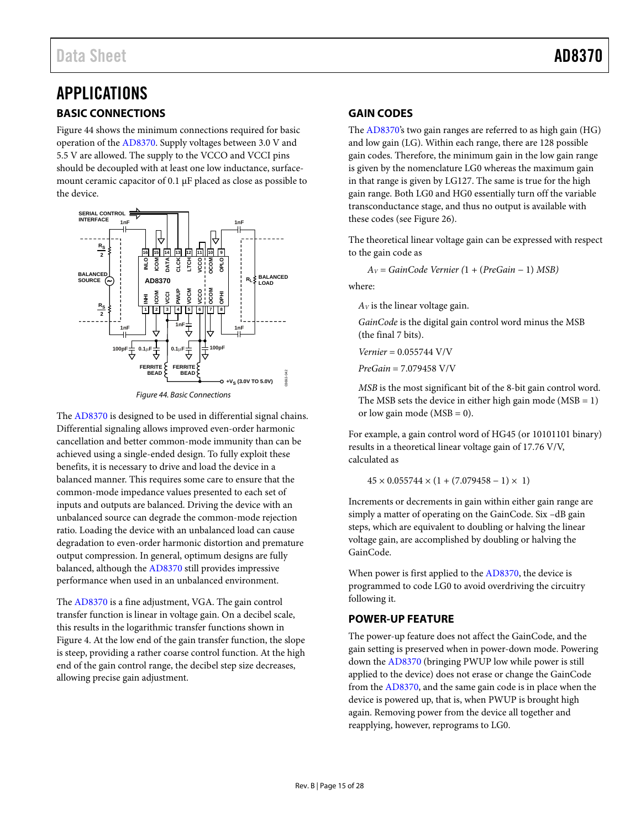## <span id="page-14-1"></span><span id="page-14-0"></span>APPLICATIONS **BASIC CONNECTIONS**

Figure 44 shows the minimum connections required for basic operation of the [AD8370.](http://www.analog.com/AD8370) Supply voltages between 3.0 V and 5.5 V are allowed. The supply to the VCCO and VCCI pins should be decoupled with at least one low inductance, surfacemount ceramic capacitor of 0.1 μF placed as close as possible to the device.



Figure 44. Basic Connections

The [AD8370 i](http://www.analog.com/AD8370)s designed to be used in differential signal chains. Differential signaling allows improved even-order harmonic cancellation and better common-mode immunity than can be achieved using a single-ended design. To fully exploit these benefits, it is necessary to drive and load the device in a balanced manner. This requires some care to ensure that the common-mode impedance values presented to each set of inputs and outputs are balanced. Driving the device with an unbalanced source can degrade the common-mode rejection ratio. Loading the device with an unbalanced load can cause degradation to even-order harmonic distortion and premature output compression. In general, optimum designs are fully balanced, although th[e AD8370](http://www.analog.com/AD8370) still provides impressive performance when used in an unbalanced environment.

The [AD8370 i](http://www.analog.com/AD8370)s a fine adjustment, VGA. The gain control transfer function is linear in voltage gain. On a decibel scale, this results in the logarithmic transfer functions shown in [Figure 4.](#page-6-1) At the low end of the gain transfer function, the slope is steep, providing a rather coarse control function. At the high end of the gain control range, the decibel step size decreases, allowing precise gain adjustment.

### <span id="page-14-2"></span>**GAIN CODES**

The [AD8370's](http://www.analog.com/AD8370) two gain ranges are referred to as high gain (HG) and low gain (LG). Within each range, there are 128 possible gain codes. Therefore, the minimum gain in the low gain range is given by the nomenclature LG0 whereas the maximum gain in that range is given by LG127. The same is true for the high gain range. Both LG0 and HG0 essentially turn off the variable transconductance stage, and thus no output is available with these codes (se[e Figure 26\)](#page-9-1).

The theoretical linear voltage gain can be expressed with respect to the gain code as

*AV = GainCode Vernier (*1 *+* (*PreGain −* 1) *MSB)* 

where:

*AV* is the linear voltage gain.

*GainCode* is the digital gain control word minus the MSB (the final 7 bits).

*Vernier* = 0.055744 V/V

*PreGain* = 7.079458 V/V

*MSB* is the most significant bit of the 8-bit gain control word. The MSB sets the device in either high gain mode  $(MSB = 1)$ or low gain mode ( $MSB = 0$ ).

For example, a gain control word of HG45 (or 10101101 binary) results in a theoretical linear voltage gain of 17.76 V/V, calculated as

 $45 \times 0.055744 \times (1 + (7.079458 - 1) \times 1)$ 

Increments or decrements in gain within either gain range are simply a matter of operating on the GainCode. Six –dB gain steps, which are equivalent to doubling or halving the linear voltage gain, are accomplished by doubling or halving the GainCode.

When power is first applied to the [AD8370,](http://www.analog.com/AD8370) the device is programmed to code LG0 to avoid overdriving the circuitry following it.

### <span id="page-14-3"></span>**POWER-UP FEATURE**

The power-up feature does not affect the GainCode, and the gain setting is preserved when in power-down mode. Powering down the [AD8370 \(](http://www.analog.com/AD8370)bringing PWUP low while power is still applied to the device) does not erase or change the GainCode from the [AD8370,](http://www.analog.com/AD8370) and the same gain code is in place when the device is powered up, that is, when PWUP is brought high again. Removing power from the device all together and reapplying, however, reprograms to LG0.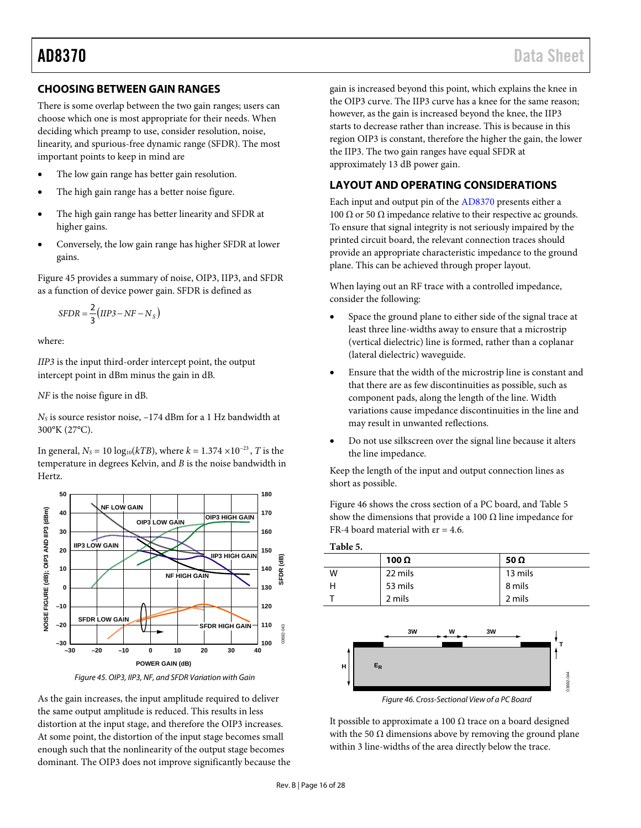### <span id="page-15-0"></span>**CHOOSING BETWEEN GAIN RANGES**

There is some overlap between the two gain ranges; users can choose which one is most appropriate for their needs. When deciding which preamp to use, consider resolution, noise, linearity, and spurious-free dynamic range (SFDR). The most important points to keep in mind are

- The low gain range has better gain resolution.
- The high gain range has a better noise figure.
- The high gain range has better linearity and SFDR at higher gains.
- Conversely, the low gain range has higher SFDR at lower gains.

[Figure 45](#page-15-2) provides a summary of noise, OIP3, IIP3, and SFDR as a function of device power gain. SFDR is defined as

$$
SFDR = \frac{2}{3}(IIP3 - NF - N_S)
$$

where:

*IIP3* is the input third-order intercept point, the output intercept point in dBm minus the gain in dB.

*NF* is the noise figure in dB.

*NS* is source resistor noise, –174 dBm for a 1 Hz bandwidth at 300°K (27°C).

In general,  $N_s$  = 10 log<sub>10</sub>( $kTB$ ), where  $k = 1.374 \times 10^{-23}$ , *T* is the temperature in degrees Kelvin, and *B* is the noise bandwidth in Hertz.



*Figure 45. OIP3, IIP3, NF, and SFDR Variation with Gain*

<span id="page-15-2"></span>As the gain increases, the input amplitude required to deliver the same output amplitude is reduced. This results in less distortion at the input stage, and therefore the OIP3 increases. At some point, the distortion of the input stage becomes small enough such that the nonlinearity of the output stage becomes dominant. The OIP3 does not improve significantly because the gain is increased beyond this point, which explains the knee in the OIP3 curve. The IIP3 curve has a knee for the same reason; however, as the gain is increased beyond the knee, the IIP3 starts to decrease rather than increase. This is because in this region OIP3 is constant, therefore the higher the gain, the lower the IIP3. The two gain ranges have equal SFDR at approximately 13 dB power gain.

#### <span id="page-15-1"></span>**LAYOUT AND OPERATING CONSIDERATIONS**

Each input and output pin of th[e AD8370](http://www.analog.com/AD8370) presents either a 100 Ω or 50 Ω impedance relative to their respective ac grounds. To ensure that signal integrity is not seriously impaired by the printed circuit board, the relevant connection traces should provide an appropriate characteristic impedance to the ground plane. This can be achieved through proper layout.

When laying out an RF trace with a controlled impedance, consider the following:

- Space the ground plane to either side of the signal trace at least three line-widths away to ensure that a microstrip (vertical dielectric) line is formed, rather than a coplanar (lateral dielectric) waveguide.
- Ensure that the width of the microstrip line is constant and that there are as few discontinuities as possible, such as component pads, along the length of the line. Width variations cause impedance discontinuities in the line and may result in unwanted reflections.
- Do not use silkscreen over the signal line because it alters the line impedance.

Keep the length of the input and output connection lines as short as possible.

[Figure](#page-15-3) 46 shows the cross section of a PC board, an[d Table 5](#page-15-4) show the dimensions that provide a 100  $\Omega$  line impedance for FR-4 board material with  $\epsilon$  = 4.6.



*Figure 46. Cross-Sectional View of a PC Board*

<span id="page-15-3"></span>It possible to approximate a 100 Ω trace on a board designed with the 50  $\Omega$  dimensions above by removing the ground plane within 3 line-widths of the area directly below the trace.

<span id="page-15-4"></span>**Table 5.**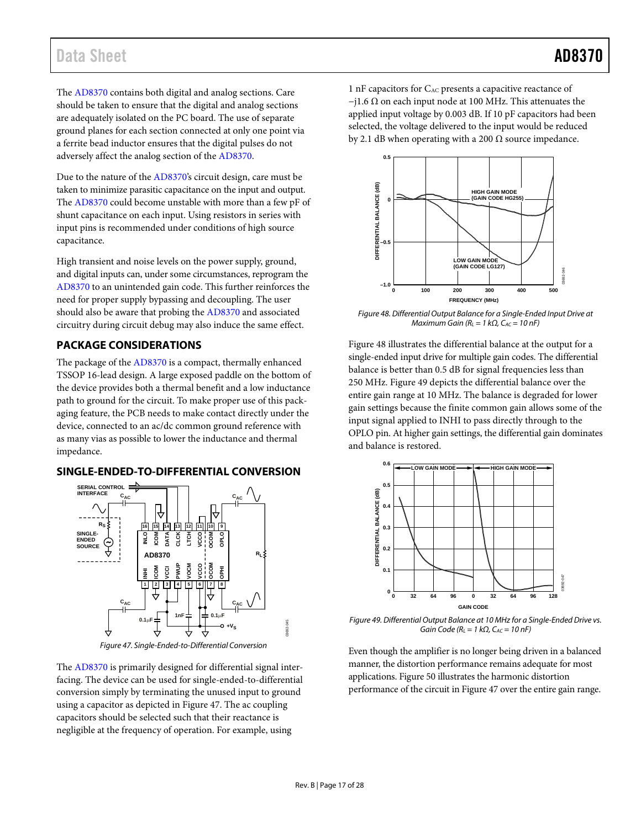## Data Sheet **AD8370**

The [AD8370](http://www.analog.com/AD8370) contains both digital and analog sections. Care should be taken to ensure that the digital and analog sections are adequately isolated on the PC board. The use of separate ground planes for each section connected at only one point via a ferrite bead inductor ensures that the digital pulses do not adversely affect the analog section of the [AD8370.](http://www.analog.com/AD8370)

Due to the nature of the [AD8370's](http://www.analog.com/AD8370) circuit design, care must be taken to minimize parasitic capacitance on the input and output. The [AD8370](http://www.analog.com/AD8370) could become unstable with more than a few pF of shunt capacitance on each input. Using resistors in series with input pins is recommended under conditions of high source capacitance.

High transient and noise levels on the power supply, ground, and digital inputs can, under some circumstances, reprogram the [AD8370](http://www.analog.com/AD8370) to an unintended gain code. This further reinforces the need for proper supply bypassing and decoupling. The user should also be aware that probing th[e AD8370](http://www.analog.com/AD8370) and associated circuitry during circuit debug may also induce the same effect.

### <span id="page-16-0"></span>**PACKAGE CONSIDERATIONS**

The package of th[e AD8370](http://www.analog.com/AD8370) is a compact, thermally enhanced TSSOP 16-lead design. A large exposed paddle on the bottom of the device provides both a thermal benefit and a low inductance path to ground for the circuit. To make proper use of this packaging feature, the PCB needs to make contact directly under the device, connected to an ac/dc common ground reference with as many vias as possible to lower the inductance and thermal impedance.

#### <span id="page-16-1"></span>**SINGLE-ENDED-TO-DIFFERENTIAL CONVERSION**



*Figure 47. Single-Ended-to-Differential Conversion*

<span id="page-16-3"></span>The [AD8370](http://www.analog.com/AD8370) is primarily designed for differential signal interfacing. The device can be used for single-ended-to-differential conversion simply by terminating the unused input to ground using a capacitor as depicted in Figure 47. The ac coupling capacitors should be selected such that their reactance is negligible at the frequency of operation. For example, using

1 nF capacitors for CAC presents a capacitive reactance of  $-j1.6 \Omega$  on each input node at 100 MHz. This attenuates the applied input voltage by 0.003 dB. If 10 pF capacitors had been selected, the voltage delivered to the input would be reduced by 2.1 dB when operating with a 200  $\Omega$  source impedance.



*Figure 48. Differential Output Balance for a Single-Ended Input Drive at Maximum Gain (R<sub>L</sub>* = 1 kΩ, C<sub>AC</sub> = 10 nF)

Figure 48 illustrates the differential balance at the output for a single-ended input drive for multiple gain codes. The differential balance is better than 0.5 dB for signal frequencies less than 250 MHz. [Figure 49](#page-16-2) depicts the differential balance over the entire gain range at 10 MHz. The balance is degraded for lower gain settings because the finite common gain allows some of the input signal applied to INHI to pass directly through to the OPLO pin. At higher gain settings, the differential gain dominates and balance is restored.



<span id="page-16-2"></span>*Figure 49. Differential Output Balance at 10 MHz for a Single-Ended Drive vs. Gain Code (RL = 1 kΩ, CAC = 10 nF)*

Even though the amplifier is no longer being driven in a balanced manner, the distortion performance remains adequate for most applications. [Figure 50](#page-17-1) illustrates the harmonic distortion performance of the circuit i[n Figure 47](#page-16-3) over the entire gain range.

03692-045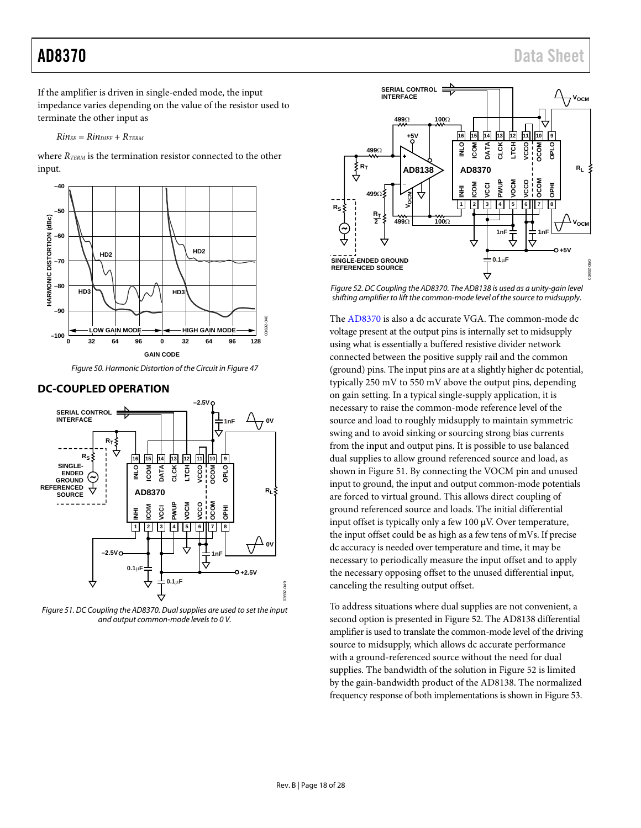<span id="page-17-1"></span>If the amplifier is driven in single-ended mode, the input impedance varies depending on the value of the resistor used to terminate the other input as

 $R$ *in<sub>SE</sub>* =  $R$ *in*<sub>DIFF</sub> +  $R$ *TERM* 

where *RTERM* is the termination resistor connected to the other input.



*Figure 50. Harmonic Distortion of the Circuit i[n Figure 47](#page-16-3)*

### <span id="page-17-0"></span>**DC-COUPLED OPERATION**



<span id="page-17-2"></span>*Figure 51. DC Coupling the AD8370. Dual supplies are used to set the input and output common-mode levels to 0 V.*



*Figure 52. DC Coupling the AD8370. Th[e AD8138 is](www.analog.com/AD8138) used as a unity-gain level shifting amplifier to lift the common-mode level of the source to midsupply.*

The [AD8370](http://www.analog.com/AD8370) is also a dc accurate VGA. The common-mode dc voltage present at the output pins is internally set to midsupply using what is essentially a buffered resistive divider network connected between the positive supply rail and the common (ground) pins. The input pins are at a slightly higher dc potential, typically 250 mV to 550 mV above the output pins, depending on gain setting. In a typical single-supply application, it is necessary to raise the common-mode reference level of the source and load to roughly midsupply to maintain symmetric swing and to avoid sinking or sourcing strong bias currents from the input and output pins. It is possible to use balanced dual supplies to allow ground referenced source and load, as shown in [Figure 51.](#page-17-2) By connecting the VOCM pin and unused input to ground, the input and output common-mode potentials are forced to virtual ground. This allows direct coupling of ground referenced source and loads. The initial differential input offset is typically only a few 100 µV. Over temperature, the input offset could be as high as a few tens of mVs. If precise dc accuracy is needed over temperature and time, it may be necessary to periodically measure the input offset and to apply the necessary opposing offset to the unused differential input, canceling the resulting output offset.

To address situations where dual supplies are not convenient, a second option is presented in Figure 52. Th[e AD8138](www.analog.com/AD8138) differential amplifier is used to translate the common-mode level of the driving source to midsupply, which allows dc accurate performance with a ground-referenced source without the need for dual supplies. The bandwidth of the solution in Figure 52 is limited by the gain-bandwidth product of the [AD8138.](www.analog.com/AD8138) The normalized frequency response of both implementations is shown in [Figure](#page-18-1) 53.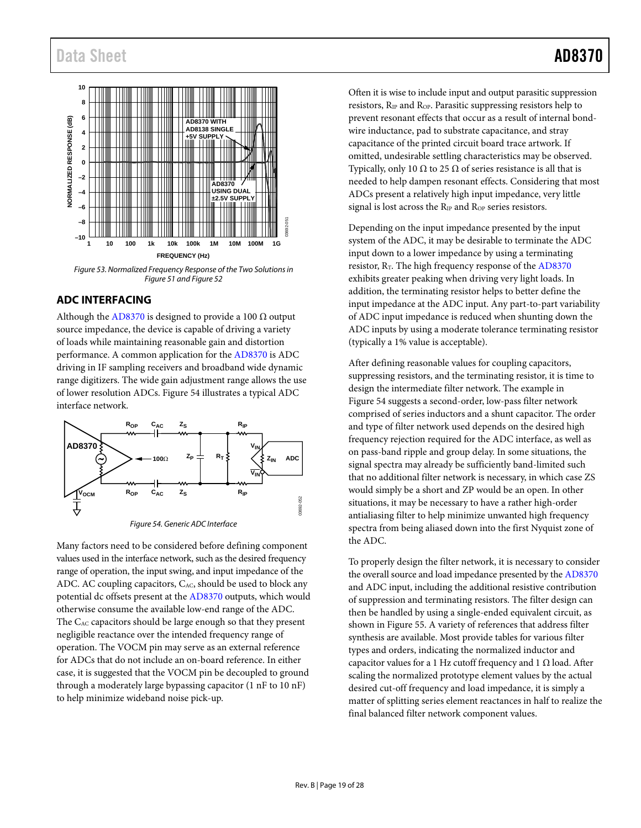<span id="page-18-1"></span>

*Figure 53. Normalized Frequency Response of the Two Solutions in [Figure 51](#page-17-2) an[d Figure 52](#page-17-1)*

### <span id="page-18-0"></span>**ADC INTERFACING**

Although th[e AD8370](http://www.analog.com/AD8370) is designed to provide a 100  $\Omega$  output source impedance, the device is capable of driving a variety of loads while maintaining reasonable gain and distortion performance. A common application for th[e AD8370](http://www.analog.com/AD8370) is ADC driving in IF sampling receivers and broadband wide dynamic range digitizers. The wide gain adjustment range allows the use of lower resolution ADCs[. Figure](#page-18-2) 54 illustrates a typical ADC interface network.



*Figure 54. Generic ADC Interface*

<span id="page-18-2"></span>Many factors need to be considered before defining component values used in the interface network, such as the desired frequency range of operation, the input swing, and input impedance of the ADC. AC coupling capacitors,  $C_{AC}$ , should be used to block any potential dc offsets present at the [AD8370](http://www.analog.com/AD8370) outputs, which would otherwise consume the available low-end range of the ADC. The C<sub>AC</sub> capacitors should be large enough so that they present negligible reactance over the intended frequency range of operation. The VOCM pin may serve as an external reference for ADCs that do not include an on-board reference. In either case, it is suggested that the VOCM pin be decoupled to ground through a moderately large bypassing capacitor (1 nF to 10 nF) to help minimize wideband noise pick-up.

Often it is wise to include input and output parasitic suppression resistors, R<sub>IP</sub> and R<sub>OP</sub>. Parasitic suppressing resistors help to prevent resonant effects that occur as a result of internal bondwire inductance, pad to substrate capacitance, and stray capacitance of the printed circuit board trace artwork. If omitted, undesirable settling characteristics may be observed. Typically, only 10  $\Omega$  to 25  $\Omega$  of series resistance is all that is needed to help dampen resonant effects. Considering that most ADCs present a relatively high input impedance, very little signal is lost across the R<sub>IP</sub> and R<sub>OP</sub> series resistors.

Depending on the input impedance presented by the input system of the ADC, it may be desirable to terminate the ADC input down to a lower impedance by using a terminating resistor,  $R_T$ . The high frequency response of the [AD8370](http://www.analog.com/AD8370) exhibits greater peaking when driving very light loads. In addition, the terminating resistor helps to better define the input impedance at the ADC input. Any part-to-part variability of ADC input impedance is reduced when shunting down the ADC inputs by using a moderate tolerance terminating resistor (typically a 1% value is acceptable).

After defining reasonable values for coupling capacitors, suppressing resistors, and the terminating resistor, it is time to design the intermediate filter network. The example in [Figure](#page-18-2) 54 suggests a second-order, low-pass filter network comprised of series inductors and a shunt capacitor. The order and type of filter network used depends on the desired high frequency rejection required for the ADC interface, as well as on pass-band ripple and group delay. In some situations, the signal spectra may already be sufficiently band-limited such that no additional filter network is necessary, in which case ZS would simply be a short and ZP would be an open. In other situations, it may be necessary to have a rather high-order antialiasing filter to help minimize unwanted high frequency spectra from being aliased down into the first Nyquist zone of the ADC.

To properly design the filter network, it is necessary to consider the overall source and load impedance presented by th[e AD8370](http://www.analog.com/AD8370) and ADC input, including the additional resistive contribution of suppression and terminating resistors. The filter design can then be handled by using a single-ended equivalent circuit, as shown in [Figure 55.](#page-19-1) A variety of references that address filter synthesis are available. Most provide tables for various filter types and orders, indicating the normalized inductor and capacitor values for a 1 Hz cutoff frequency and 1  $\Omega$  load. After scaling the normalized prototype element values by the actual desired cut-off frequency and load impedance, it is simply a matter of splitting series element reactances in half to realize the final balanced filter network component values.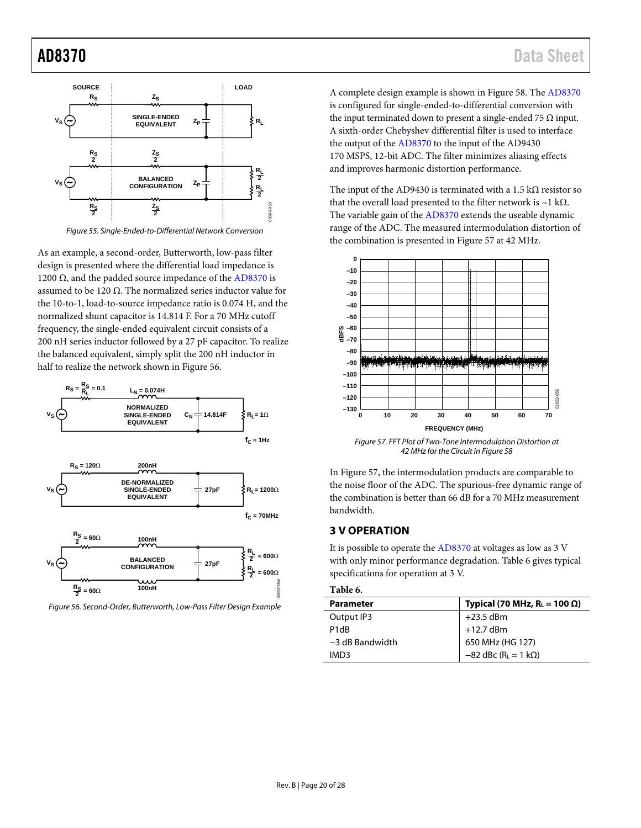<span id="page-19-1"></span>

*Figure 55. Single-Ended-to-Differential Network Conversion*

As an example, a second-order, Butterworth, low-pass filter design is presented where the differential load impedance is 1200  $Ω$ , and the padded source impedance of th[e AD8370](http://www.analog.com/AD8370) is assumed to be 120 Ω. The normalized series inductor value for the 10-to-1, load-to-source impedance ratio is 0.074 H, and the normalized shunt capacitor is 14.814 F. For a 70 MHz cutoff frequency, the single-ended equivalent circuit consists of a 200 nH series inductor followed by a 27 pF capacitor. To realize the balanced equivalent, simply split the 200 nH inductor in half to realize the network shown in [Figure 56.](#page-19-2) 



<span id="page-19-2"></span>*Figure 56. Second-Order, Butterworth, Low-Pass Filter Design Example*

A complete design example is shown in [Figure 58.](#page-20-0) The [AD8370](http://www.analog.com/AD8370) is configured for single-ended-to-differential conversion with the input terminated down to present a single-ended 75  $\Omega$  input. A sixth-order Chebyshev differential filter is used to interface the output of th[e AD8370](http://www.analog.com/AD8370) to the input of th[e AD9430](www.analog.com/AD9430)  170 MSPS, 12-bit ADC. The filter minimizes aliasing effects and improves harmonic distortion performance.

The input of the [AD9430 i](www.analog.com/AD9430)s terminated with a 1.5 k $\Omega$  resistor so that the overall load presented to the filter network is ~1 kΩ. The variable gain of th[e AD8370](http://www.analog.com/AD8370) extends the useable dynamic range of the ADC. The measured intermodulation distortion of the combination is presented i[n Figure](#page-19-3) 57 at 42 MHz.



<span id="page-19-3"></span>*Figure 57. FFT Plot of Two-Tone Intermodulation Distortion at 42 MHz for the Circuit i[n Figure 58](#page-20-0)*

I[n Figure](#page-19-3) 57, the intermodulation products are comparable to the noise floor of the ADC. The spurious-free dynamic range of the combination is better than 66 dB for a 70 MHz measurement bandwidth.

#### <span id="page-19-0"></span>**3 V OPERATION**

It is possible to operate the [AD8370](http://www.analog.com/AD8370) at voltages as low as 3 V with only minor performance degradation. [Table 6](#page-19-4) gives typical specifications for operation at 3 V.

#### <span id="page-19-4"></span>**Table 6.**

| <b>Parameter</b>              | Typical (70 MHz, $R_L = 100 \Omega$ )      |
|-------------------------------|--------------------------------------------|
| Output IP3                    | $+23.5$ dBm                                |
| P <sub>1</sub> d <sub>R</sub> | $+12.7$ dBm                                |
| $-3$ dB Bandwidth             | 650 MHz (HG 127)                           |
| IMD3                          | $-82$ dBc (R <sub>L</sub> = 1 k $\Omega$ ) |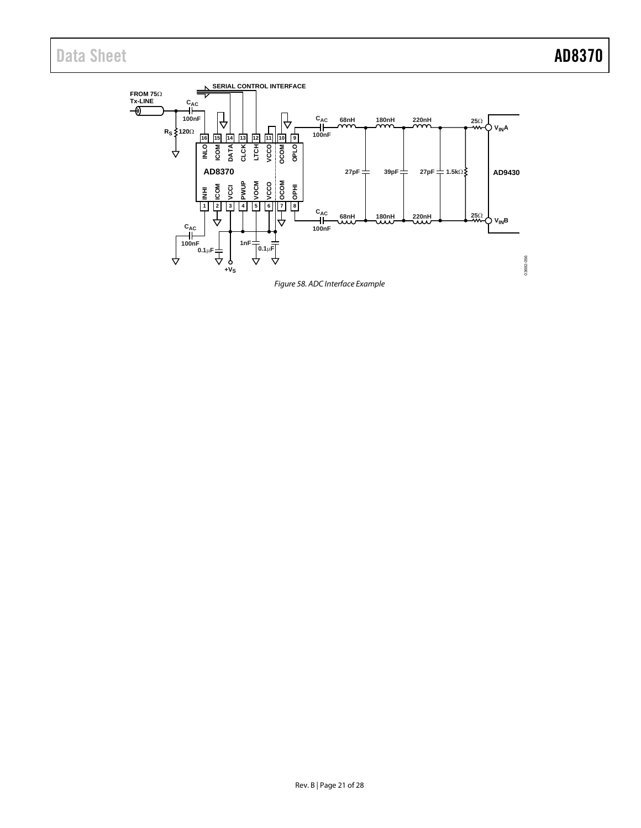<span id="page-20-0"></span>

*Figure 58. ADC Interface Example*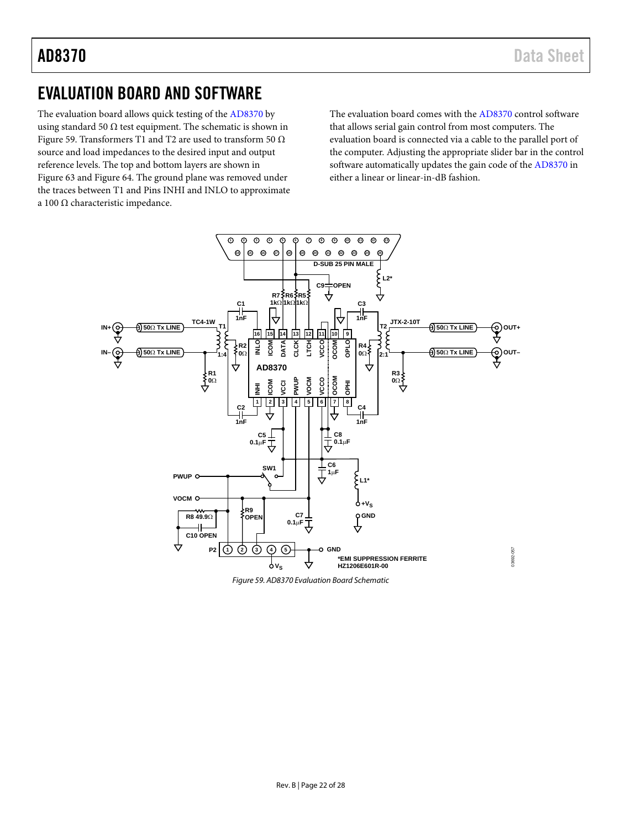## <span id="page-21-0"></span>EVALUATION BOARD AND SOFTWARE

The evaluation board allows quick testing of th[e AD8370](http://www.analog.com/AD8370) by using standard 50  $\Omega$  test equipment. The schematic is shown in Figure 59. Transformers T1 and T2 are used to transform 50  $\Omega$ source and load impedances to the desired input and output reference levels. The top and bottom layers are shown in [Figure](#page-23-1) 63 an[d Figure 64.](#page-23-0) The ground plane was removed under the traces between T1 and Pins INHI and INLO to approximate a 100 Ω characteristic impedance.

The evaluation board comes with th[e AD8370](http://www.analog.com/AD8370) control software that allows serial gain control from most computers. The evaluation board is connected via a cable to the parallel port of the computer. Adjusting the appropriate slider bar in the control software automatically updates the gain code of th[e AD8370](http://www.analog.com/AD8370) in either a linear or linear-in-dB fashion.

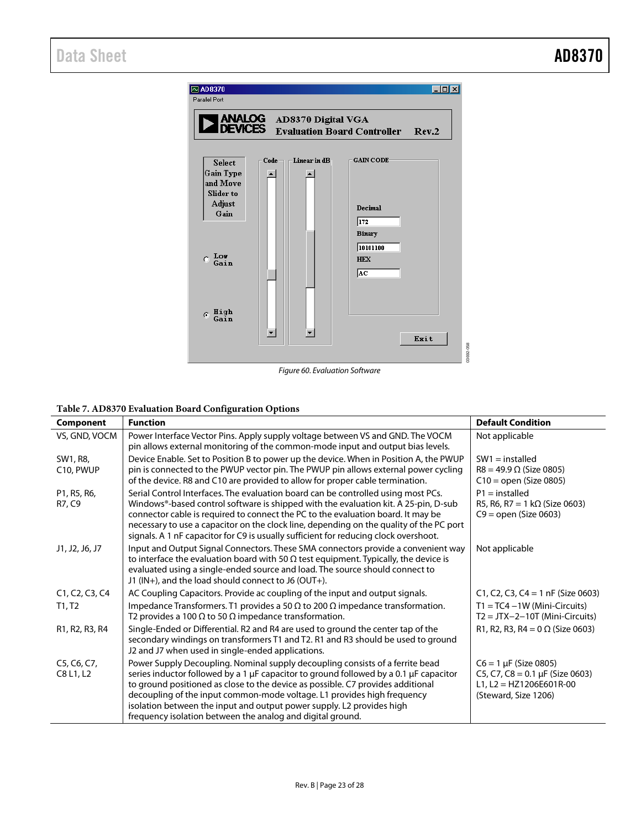

*Figure 60. Evaluation Software*

#### **Table 7. AD8370 Evaluation Board Configuration Options**

| Component                | <b>Function</b>                                                                                                                                                                                                                                                                                                                                                                                                                                                                       | <b>Default Condition</b>                                                                                              |
|--------------------------|---------------------------------------------------------------------------------------------------------------------------------------------------------------------------------------------------------------------------------------------------------------------------------------------------------------------------------------------------------------------------------------------------------------------------------------------------------------------------------------|-----------------------------------------------------------------------------------------------------------------------|
| VS, GND, VOCM            | Power Interface Vector Pins. Apply supply voltage between VS and GND. The VOCM<br>pin allows external monitoring of the common-mode input and output bias levels.                                                                                                                                                                                                                                                                                                                     | Not applicable                                                                                                        |
| SW1, R8,<br>C10, PWUP    | Device Enable. Set to Position B to power up the device. When in Position A, the PWUP<br>pin is connected to the PWUP vector pin. The PWUP pin allows external power cycling<br>of the device. R8 and C10 are provided to allow for proper cable termination.                                                                                                                                                                                                                         | $SW1 =$ installed<br>$R8 = 49.9 \Omega$ (Size 0805)<br>$C10 = open (Size 0805)$                                       |
| P1, R5, R6,<br>R7, C9    | Serial Control Interfaces. The evaluation board can be controlled using most PCs.<br>Windows®-based control software is shipped with the evaluation kit. A 25-pin, D-sub<br>connector cable is required to connect the PC to the evaluation board. It may be<br>necessary to use a capacitor on the clock line, depending on the quality of the PC port<br>signals. A 1 nF capacitor for C9 is usually sufficient for reducing clock overshoot.                                       | $P1 =$ installed<br>R5, R6, R7 = 1 k $\Omega$ (Size 0603)<br>$C9 = open (Size 0603)$                                  |
| J1, J2, J6, J7           | Input and Output Signal Connectors. These SMA connectors provide a convenient way<br>to interface the evaluation board with 50 $\Omega$ test equipment. Typically, the device is<br>evaluated using a single-ended source and load. The source should connect to<br>J1 (IN+), and the load should connect to J6 (OUT+).                                                                                                                                                               | Not applicable                                                                                                        |
| C1, C2, C3, C4           | AC Coupling Capacitors. Provide ac coupling of the input and output signals.                                                                                                                                                                                                                                                                                                                                                                                                          | C1, C2, C3, C4 = 1 $nF$ (Size 0603)                                                                                   |
| T1, T2                   | Impedance Transformers. T1 provides a 50 $\Omega$ to 200 $\Omega$ impedance transformation.<br>T2 provides a 100 $\Omega$ to 50 $\Omega$ impedance transformation.                                                                                                                                                                                                                                                                                                                    | $T1 = TC4 - 1W$ (Mini-Circuits)<br>$T2 = JTX - 2 - 10T$ (Mini-Circuits)                                               |
| R1, R2, R3, R4           | Single-Ended or Differential. R2 and R4 are used to ground the center tap of the<br>secondary windings on transformers T1 and T2. R1 and R3 should be used to ground<br>J2 and J7 when used in single-ended applications.                                                                                                                                                                                                                                                             | R1, R2, R3, R4 = $0 \Omega$ (Size 0603)                                                                               |
| C5, C6, C7,<br>C8 L1, L2 | Power Supply Decoupling. Nominal supply decoupling consists of a ferrite bead<br>series inductor followed by a 1 $\mu$ F capacitor to ground followed by a 0.1 $\mu$ F capacitor<br>to ground positioned as close to the device as possible. C7 provides additional<br>decoupling of the input common-mode voltage. L1 provides high frequency<br>isolation between the input and output power supply. L2 provides high<br>frequency isolation between the analog and digital ground. | $C6 = 1 \mu F$ (Size 0805)<br>C5, C7, C8 = $0.1 \mu$ F (Size 0603)<br>L1, L2 = HZ1206E601R-00<br>(Steward, Size 1206) |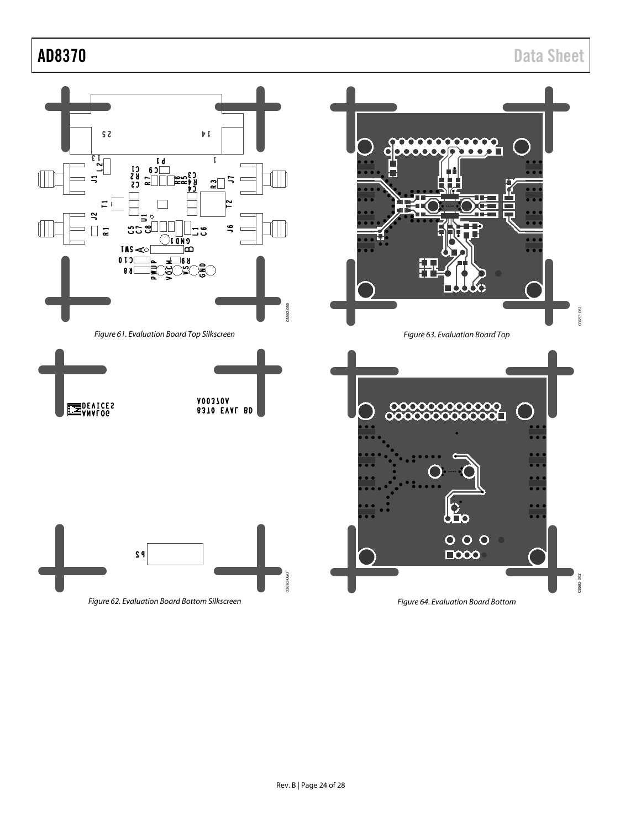<span id="page-23-1"></span>AD8370 Data Sheet



*Figure 62. Evaluation Board Bottom Silkscreen*

<span id="page-23-0"></span>*Figure 64. Evaluation Board Bottom*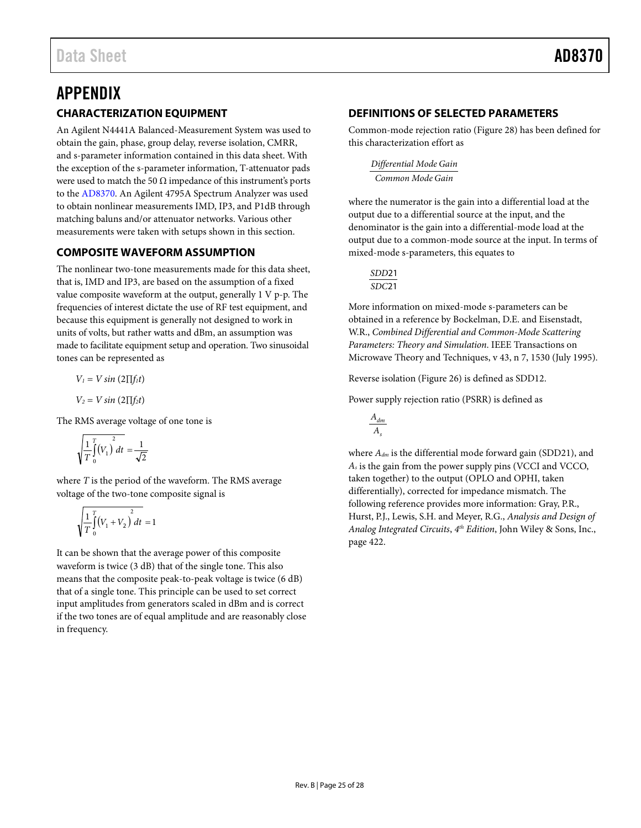## <span id="page-24-1"></span><span id="page-24-0"></span>APPENDIX **CHARACTERIZATION EQUIPMENT**

An Agilent N4441A Balanced-Measurement System was used to obtain the gain, phase, group delay, reverse isolation, CMRR, and s-parameter information contained in this data sheet. With the exception of the s-parameter information, T-attenuator pads were used to match the 50  $\Omega$  impedance of this instrument's ports to the [AD8370.](http://www.analog.com/AD8370) An Agilent 4795A Spectrum Analyzer was used to obtain nonlinear measurements IMD, IP3, and P1dB through matching baluns and/or attenuator networks. Various other measurements were taken with setups shown in this section.

### <span id="page-24-2"></span>**COMPOSITE WAVEFORM ASSUMPTION**

The nonlinear two-tone measurements made for this data sheet, that is, IMD and IP3, are based on the assumption of a fixed value composite waveform at the output, generally 1 V p-p. The frequencies of interest dictate the use of RF test equipment, and because this equipment is generally not designed to work in units of volts, but rather watts and dBm, an assumption was made to facilitate equipment setup and operation. Two sinusoidal tones can be represented as

$$
V_1 = V \sin(2\Pi f_1 t)
$$
  

$$
V_2 = V \sin(2\Pi f_2 t)
$$

The RMS average voltage of one tone is

$$
\sqrt{\frac{1}{T}\int_{0}^{T}(V_{1})^{2}dt} = \frac{1}{\sqrt{2}}
$$

where *T* is the period of the waveform. The RMS average voltage of the two-tone composite signal is

$$
\sqrt{\frac{1}{T}\int_{0}^{T} (V_1 + V_2) dt} = 1
$$

It can be shown that the average power of this composite waveform is twice (3 dB) that of the single tone. This also means that the composite peak-to-peak voltage is twice (6 dB) that of a single tone. This principle can be used to set correct input amplitudes from generators scaled in dBm and is correct if the two tones are of equal amplitude and are reasonably close in frequency.

### <span id="page-24-3"></span>**DEFINITIONS OF SELECTED PARAMETERS**

Common-mode rejection ratio [\(Figure 28\)](#page-10-0) has been defined for this characterization effort as

*Common Mode Gain Differential Mode Gain*

where the numerator is the gain into a differential load at the output due to a differential source at the input, and the denominator is the gain into a differential-mode load at the output due to a common-mode source at the input. In terms of mixed-mode s-parameters, this equates to

$$
\frac{\text{SDD21}}{\text{SDC21}}
$$

More information on mixed-mode s-parameters can be obtained in a reference by Bockelman, D.E. and Eisenstadt, W.R., *Combined Differential and Common-Mode Scattering Parameters: Theory and Simulation*. IEEE Transactions on Microwave Theory and Techniques, v 43, n 7, 1530 (July 1995).

Reverse isolation [\(Figure 26\)](#page-9-1) is defined as SDD12.

Power supply rejection ratio (PSRR) is defined as



where *Adm* is the differential mode forward gain (SDD21), and *As* is the gain from the power supply pins (VCCI and VCCO, taken together) to the output (OPLO and OPHI, taken differentially), corrected for impedance mismatch. The following reference provides more information: Gray, P.R., Hurst, P.J., Lewis, S.H. and Meyer, R.G., *Analysis and Design of Analog Integrated Circuits*, *4th Edition*, John Wiley & Sons, Inc., page 422.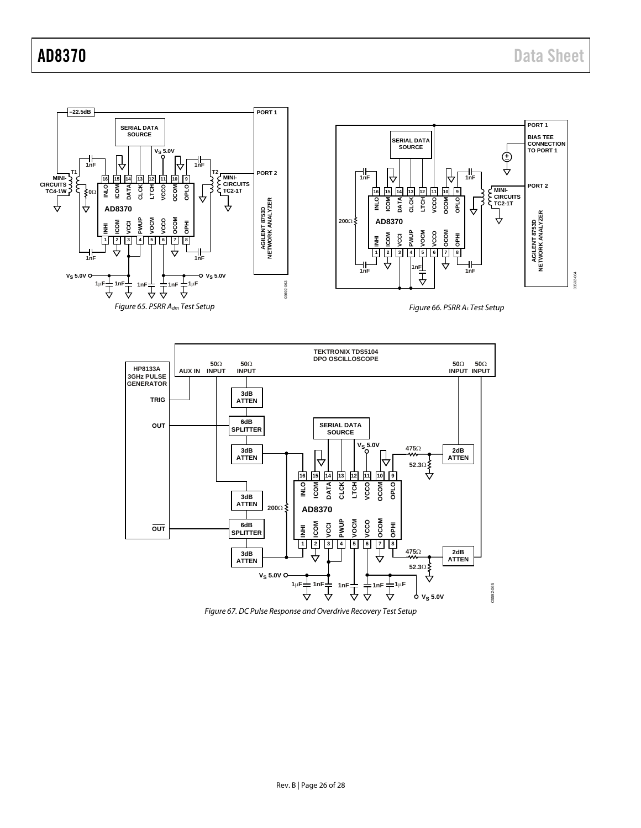



*Figure 67. DC Pulse Response and Overdrive Recovery Test Setup*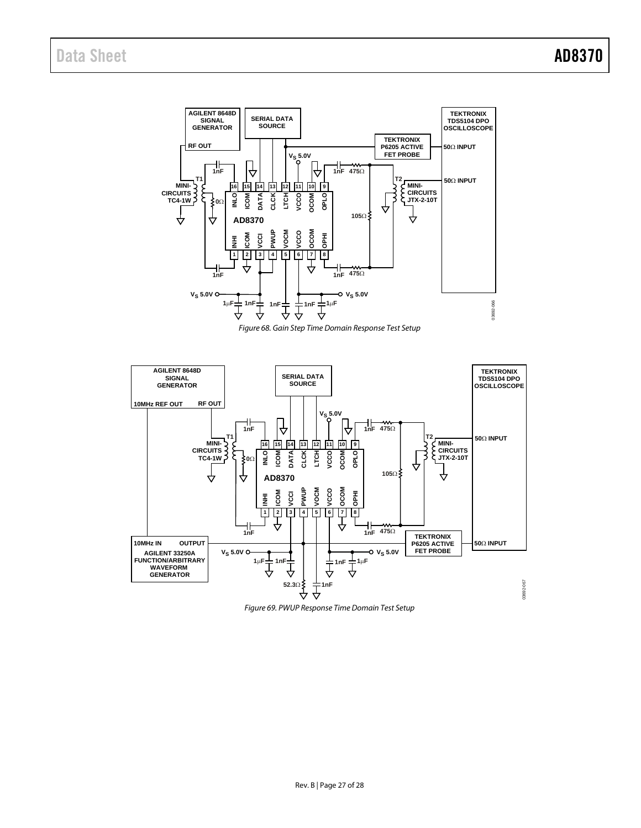

*Figure 68. Gain Step Time Domain Response Test Setup*



*Figure 69. PWUP Response Time Domain Test Setup*